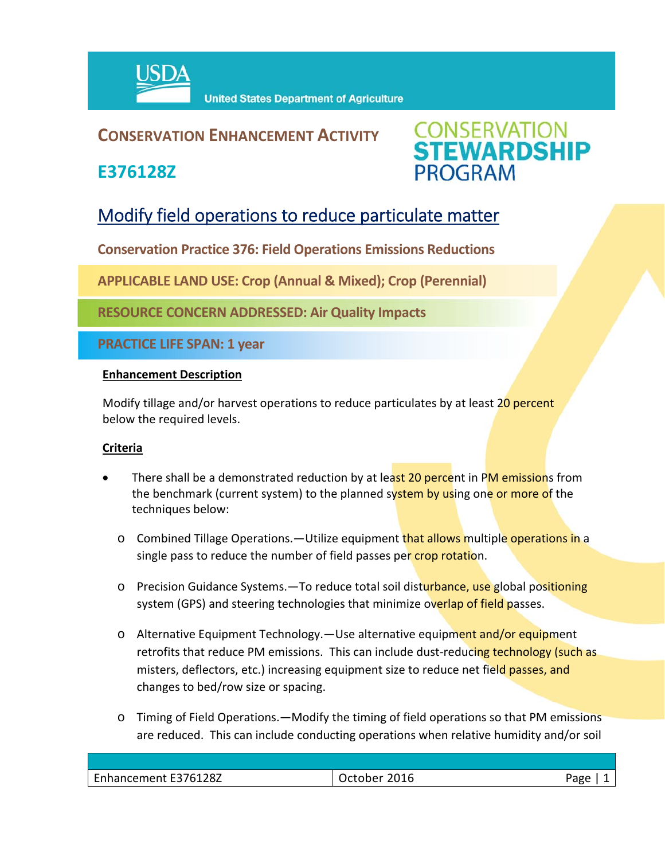

## **CONSERVATION ENHANCEMENT ACTIVITY**

**E376128Z**



# Modify field operations to reduce particulate matter

**Conservation Practice 376: Field Operations Emissions Reductions** 

**APPLICABLE LAND USE: Crop (Annual & Mixed); Crop (Perennial)**

**RESOURCE CONCERN ADDRESSED: Air Quality Impacts**

**PRACTICE LIFE SPAN: 1 year**

#### **Enhancement Description**

Modify tillage and/or harvest operations to reduce particulates by at least 20 percent below the required levels.

### **Criteria**

- There shall be a demonstrated reduction by at least 20 percent in PM emissions from the benchmark (current system) to the planned system by using one or more of the techniques below:
	- o Combined Tillage Operations.—Utilize equipment that allows multiple operations in a single pass to reduce the number of field passes per crop rotation.
	- o Precision Guidance Systems.—To reduce total soil disturbance, use global positioning system (GPS) and steering technologies that minimize overlap of field passes.
	- o Alternative Equipment Technology.—Use alternative equipment and/or equipment retrofits that reduce PM emissions. This can include dust-reducing technology (such as misters, deflectors, etc.) increasing equipment size to reduce net field passes, and changes to bed/row size or spacing.
	- o Timing of Field Operations.—Modify the timing of field operations so that PM emissions are reduced. This can include conducting operations when relative humidity and/or soil

| 376128Z<br>$\overline{\phantom{0}}$<br>Enhancement F3761<br>______ | - -<br>__ | $\sim$ $\sim$ $\sim$<br>---<br>- 63 |
|--------------------------------------------------------------------|-----------|-------------------------------------|
|                                                                    |           |                                     |